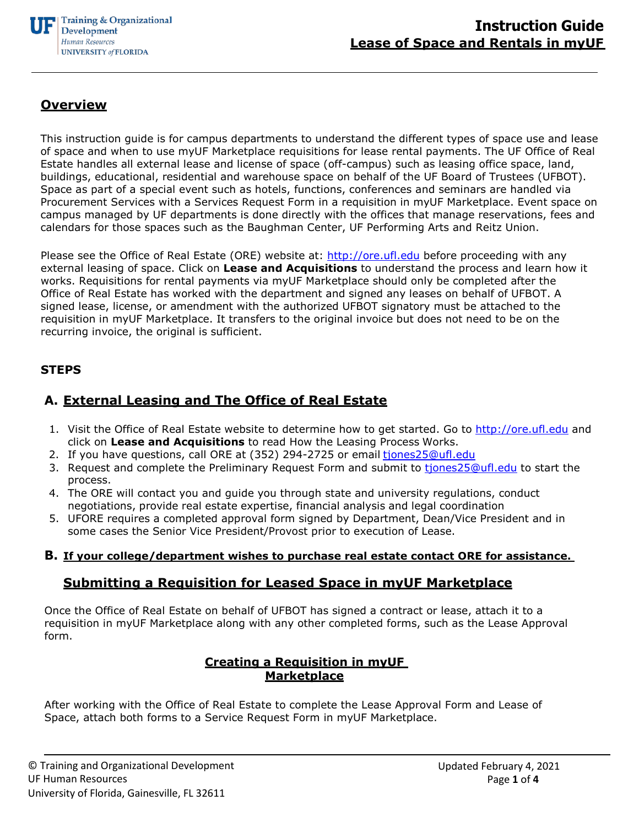

# **Overview**

This instruction guide is for campus departments to understand the different types of space use and lease of space and when to use myUF Marketplace requisitions for lease rental payments. The UF Office of Real Estate handles all external lease and license of space (off-campus) such as leasing office space, land, buildings, educational, residential and warehouse space on behalf of the UF Board of Trustees (UFBOT). Space as part of a special event such as hotels, functions, conferences and seminars are handled via Procurement Services with a Services Request Form in a requisition in myUF Marketplace. Event space on campus managed by UF departments is done directly with the offices that manage reservations, fees and calendars for those spaces such as the Baughman Center, UF Performing Arts and Reitz Union.

Please see the Office of Real Estate (ORE) website at: [http://ore.ufl.edu](http://ore.ufl.edu/) before proceeding with any external leasing of space. Click on **Lease and Acquisitions** to understand the process and learn how it works. Requisitions for rental payments via myUF Marketplace should only be completed after the Office of Real Estate has worked with the department and signed any leases on behalf of UFBOT. A signed lease, license, or amendment with the authorized UFBOT signatory must be attached to the requisition in myUF Marketplace. It transfers to the original invoice but does not need to be on the recurring invoice, the original is sufficient.

### **STEPS**

# **A. External Leasing and The Office of Real Estate**

- 1. Visit the Office of Real Estate website to determine how to get started. Go to [http://ore.ufl.edu](http://ore.ufl.edu/) and click on **Lease and Acquisitions** to read How the Leasing Process Works.
- 2. If you have questions, call ORE at (352) 294-2725 or email [tjones25@ufl.edu](mailto:realestate@ad.ufl.edu)
- 3. Request and complete the Preliminary Request Form and submit to tiones25@ufl.edu to start the process.
- 4. The ORE will contact you and guide you through state and university regulations, conduct negotiations, provide real estate expertise, financial analysis and legal coordination
- 5. UFORE requires a completed approval form signed by Department, Dean/Vice President and in some cases the Senior Vice President/Provost prior to execution of Lease.

#### **B. If your college/department wishes to purchase real estate contact ORE for assistance.**

## **Submitting a Requisition for Leased Space in myUF Marketplace**

Once the Office of Real Estate on behalf of UFBOT has signed a contract or lease, attach it to a requisition in myUF Marketplace along with any other completed forms, such as the Lease Approval form.

### **Creating a Requisition in myUF Marketplace**

After working with the Office of Real Estate to complete the Lease Approval Form and Lease of Space, attach both forms to a Service Request Form in myUF Marketplace.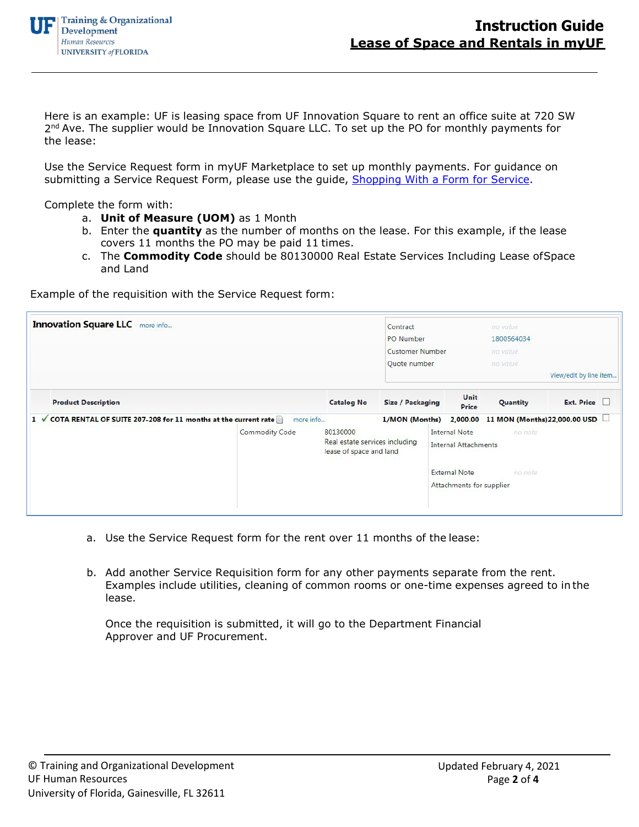Here is an example: UF is leasing space from UF Innovation Square to rent an office suite at 720 SW  $2<sup>nd</sup>$  Ave. The supplier would be Innovation Square LLC. To set up the PO for monthly payments for the lease:

Use the Service Request form in myUF Marketplace to set up monthly payments. For guidance on submitting a Service Request Form, please use the guide, Shopping With a Form for Service.

Complete the form with:

- a. **Unit of Measure (UOM)** as 1 Month
- b. Enter the **quantity** as the number of months on the lease. For this example, if the lease covers 11 months the PO may be paid 11 times.
- c. The **Commodity Code** should be 80130000 Real Estate Services Including Lease ofSpace and Land

Example of the requisition with the Service Request form:

| <b>Innovation Square LLC</b> more info                              |                       | Contract<br>PO Number                                                 |                                        | no value<br>1800564034                              |                                        |                        |  |
|---------------------------------------------------------------------|-----------------------|-----------------------------------------------------------------------|----------------------------------------|-----------------------------------------------------|----------------------------------------|------------------------|--|
|                                                                     |                       |                                                                       | <b>Customer Number</b><br>Quote number |                                                     | no value<br>no value                   |                        |  |
|                                                                     |                       |                                                                       |                                        |                                                     |                                        | View/edit by line item |  |
| <b>Product Description</b>                                          |                       | <b>Catalog No</b>                                                     | <b>Size / Packaging</b>                | Unit<br><b>Price</b>                                | Quantity                               | Ext. Price             |  |
| COTA RENTAL OF SUITE 207-208 for 11 months at the current rate<br>1 | more info             |                                                                       | 1/MON (Months)                         |                                                     | 2,000.00 11 MON (Months) 22,000.00 USD |                        |  |
|                                                                     | <b>Commodity Code</b> | 80130000<br>Real estate services including<br>lease of space and land |                                        | <b>Internal Note</b><br><b>Internal Attachments</b> | no note                                |                        |  |
|                                                                     |                       |                                                                       |                                        | <b>External Note</b><br>Attachments for supplier    | no note                                |                        |  |

- a. Use the Service Request form for the rent over 11 months of the lease:
- b. Add another Service Requisition form for any other payments separate from the rent. Examples include utilities, cleaning of common rooms or one-time expenses agreed to in the lease.

Once the requisition is submitted, it will go to the Department Financial Approver and UF Procurement.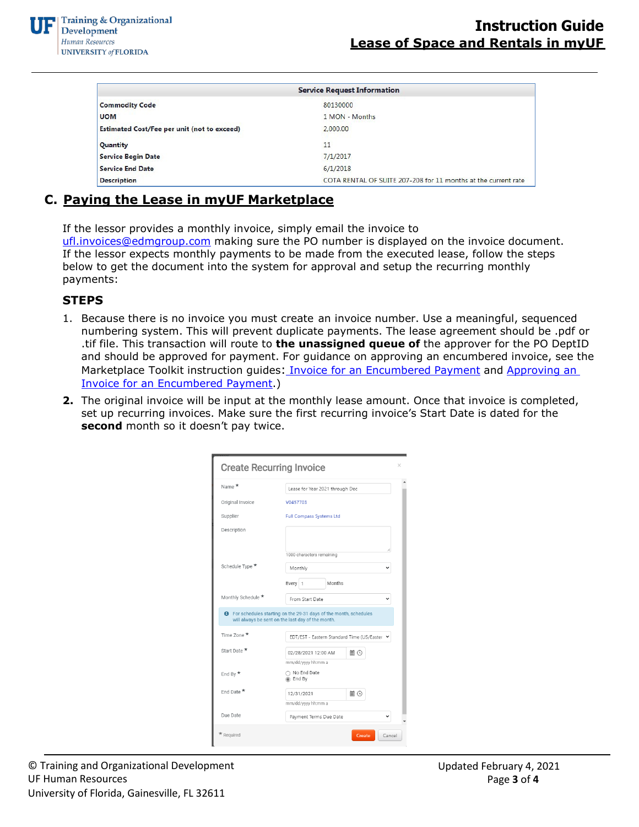|                                                    | <b>Service Request Information</b>                             |
|----------------------------------------------------|----------------------------------------------------------------|
| <b>Commodity Code</b>                              | 80130000                                                       |
| <b>UOM</b>                                         | 1 MON - Months                                                 |
| <b>Estimated Cost/Fee per unit (not to exceed)</b> | 2,000,00                                                       |
| Quantity                                           | 11                                                             |
| <b>Service Begin Date</b>                          | 7/1/2017                                                       |
| <b>Service End Date</b>                            | 6/1/2018                                                       |
| <b>Description</b>                                 | COTA RENTAL OF SUITE 207-208 for 11 months at the current rate |

# **C. Paying the Lease in myUF Marketplace**

If the lessor provides a monthly invoice, simply email the invoice to [ufl.invoices@edmgroup.com](mailto:ufl.invoices@edmgroup.com) making sure the PO number is displayed on the invoice document. If the lessor expects monthly payments to be made from the executed lease, follow the steps below to get the document into the system for approval and setup the recurring monthly payments:

## **STEPS**

- 1. Because there is no invoice you must create**o**an invoice number. Use a meaningful, sequenced numbering system. This will prevent duplicate payments. The lease agreement should be .pdf or .tif file. This transaction will route to **the unassigned queue of** the approver for the PO DeptID and should be approved for payment. For guidance on approving an encumbered invoice, see the Marketplace Toolkit i[n](http://training.hr.ufl.edu/instructionguides/myuf_payment_solutions/approving_an_invoice_encumbered_payment_allocating_add_funds_example.pdf)struction guides: *[Invoice for an Encumbered](http://training.hr.ufl.edu/instructionguides/myuf_payment_solutions/approving_an_invoice_encumbered_payment_allocating_add_funds_example.pdf) Payment* and Approving an [Invoice for an Encumbered Payment.](http://training.hr.ufl.edu/instructionguides/myuf_payment_solutions/approving_an_invoice_encumbered_payment_allocating_add_funds_example.pdf))
- **2.** The original invoice will be input at the monthly lease amount. Once that invoice is completed, set up recurring invoices. Make sure the first recurring invoice's Start Date is dated for the second month so it doesn't pay twice.

| <b>Create Recurring Invoice</b> |                                                                                                                                | $\times$ |  |  |
|---------------------------------|--------------------------------------------------------------------------------------------------------------------------------|----------|--|--|
| Name *                          | Lease for Year 2021 through Dec                                                                                                |          |  |  |
| Original Invoice                | V0457703                                                                                                                       |          |  |  |
| Supplier                        | Full Compass Systems Ltd                                                                                                       |          |  |  |
| Description                     |                                                                                                                                |          |  |  |
| Schedule Type *                 | 1000 characters remaining<br>Monthly<br>Months<br>Every 1                                                                      |          |  |  |
| Monthly Schedule *              | From Start Date                                                                                                                |          |  |  |
|                                 | <b>O</b> For schedules starting on the 29-31 days of the month, schedules<br>will always be sent on the last day of the month. |          |  |  |
| Time 7one ★                     | EDT/EST - Eastern Standard Time (US/Easter Y                                                                                   |          |  |  |
| Start Date ★                    | ■⊙<br>02/28/2021 12:00 AM<br>mm/dd/yyyy hh:mm a                                                                                |          |  |  |
| End By $\star$                  | ∩ No End Date<br>◉ End By                                                                                                      |          |  |  |
| End Date $\star$                | 12/31/2021<br>圓 ①<br>mm/dd/yyyy hh:mm a                                                                                        |          |  |  |
| Due Date                        | Payment Terms Due Date                                                                                                         |          |  |  |
| * Required                      | Create                                                                                                                         | Cancel   |  |  |